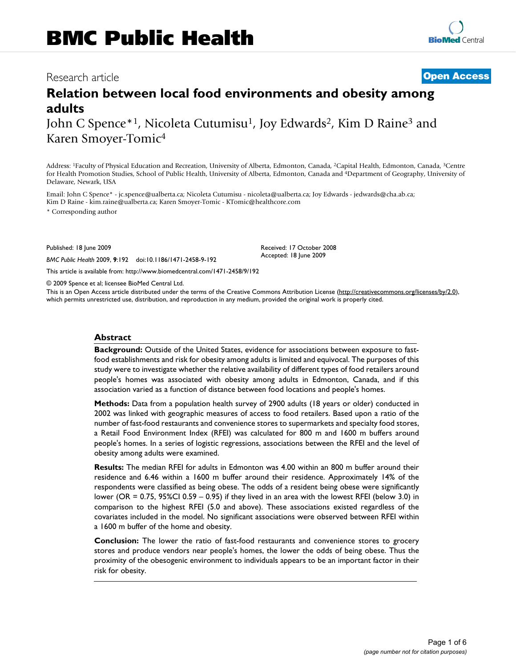# Research article **[Open Access](http://www.biomedcentral.com/info/about/charter/)**

# **Relation between local food environments and obesity among adults**

John C Spence\*<sup>1</sup>, Nicoleta Cutumisu<sup>1</sup>, Joy Edwards<sup>2</sup>, Kim D Raine<sup>3</sup> and Karen Smoyer-Tomic4

Address: 1Faculty of Physical Education and Recreation, University of Alberta, Edmonton, Canada, 2Capital Health, Edmonton, Canada, 3Centre for Health Promotion Studies, School of Public Health, University of Alberta, Edmonton, Canada and 4Department of Geography, University of Delaware, Newark, USA

Email: John C Spence\* - jc.spence@ualberta.ca; Nicoleta Cutumisu - nicoleta@ualberta.ca; Joy Edwards - jedwards@cha.ab.ca; Kim D Raine - kim.raine@ualberta.ca; Karen Smoyer-Tomic - KTomic@healthcore.com

\* Corresponding author

Published: 18 June 2009

*BMC Public Health* 2009, **9**:192 doi:10.1186/1471-2458-9-192

[This article is available from: http://www.biomedcentral.com/1471-2458/9/192](http://www.biomedcentral.com/1471-2458/9/192)

© 2009 Spence et al; licensee BioMed Central Ltd.

This is an Open Access article distributed under the terms of the Creative Commons Attribution License [\(http://creativecommons.org/licenses/by/2.0\)](http://creativecommons.org/licenses/by/2.0), which permits unrestricted use, distribution, and reproduction in any medium, provided the original work is properly cited.

Received: 17 October 2008 Accepted: 18 June 2009

#### **Abstract**

**Background:** Outside of the United States, evidence for associations between exposure to fastfood establishments and risk for obesity among adults is limited and equivocal. The purposes of this study were to investigate whether the relative availability of different types of food retailers around people's homes was associated with obesity among adults in Edmonton, Canada, and if this association varied as a function of distance between food locations and people's homes.

**Methods:** Data from a population health survey of 2900 adults (18 years or older) conducted in 2002 was linked with geographic measures of access to food retailers. Based upon a ratio of the number of fast-food restaurants and convenience stores to supermarkets and specialty food stores, a Retail Food Environment Index (RFEI) was calculated for 800 m and 1600 m buffers around people's homes. In a series of logistic regressions, associations between the RFEI and the level of obesity among adults were examined.

**Results:** The median RFEI for adults in Edmonton was 4.00 within an 800 m buffer around their residence and 6.46 within a 1600 m buffer around their residence. Approximately 14% of the respondents were classified as being obese. The odds of a resident being obese were significantly lower (OR = 0.75, 95%CI 0.59 – 0.95) if they lived in an area with the lowest RFEI (below 3.0) in comparison to the highest RFEI (5.0 and above). These associations existed regardless of the covariates included in the model. No significant associations were observed between RFEI within a 1600 m buffer of the home and obesity.

**Conclusion:** The lower the ratio of fast-food restaurants and convenience stores to grocery stores and produce vendors near people's homes, the lower the odds of being obese. Thus the proximity of the obesogenic environment to individuals appears to be an important factor in their risk for obesity.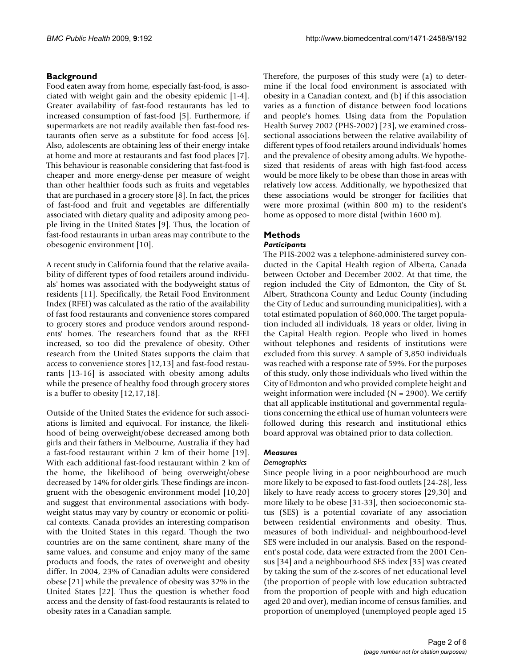# **Background**

Food eaten away from home, especially fast-food, is associated with weight gain and the obesity epidemic [1-4]. Greater availability of fast-food restaurants has led to increased consumption of fast-food [5]. Furthermore, if supermarkets are not readily available then fast-food restaurants often serve as a substitute for food access [6]. Also, adolescents are obtaining less of their energy intake at home and more at restaurants and fast food places [7]. This behaviour is reasonable considering that fast-food is cheaper and more energy-dense per measure of weight than other healthier foods such as fruits and vegetables that are purchased in a grocery store [8]. In fact, the prices of fast-food and fruit and vegetables are differentially associated with dietary quality and adiposity among people living in the United States [9]. Thus, the location of fast-food restaurants in urban areas may contribute to the obesogenic environment [10].

A recent study in California found that the relative availability of different types of food retailers around individuals' homes was associated with the bodyweight status of residents [11]. Specifically, the Retail Food Environment Index (RFEI) was calculated as the ratio of the availability of fast food restaurants and convenience stores compared to grocery stores and produce vendors around respondents' homes. The researchers found that as the RFEI increased, so too did the prevalence of obesity. Other research from the United States supports the claim that access to convenience stores [12,13] and fast-food restaurants [13-16] is associated with obesity among adults while the presence of healthy food through grocery stores is a buffer to obesity [12,17,18].

Outside of the United States the evidence for such associations is limited and equivocal. For instance, the likelihood of being overweight/obese decreased among both girls and their fathers in Melbourne, Australia if they had a fast-food restaurant within 2 km of their home [19]. With each additional fast-food restaurant within 2 km of the home, the likelihood of being overweight/obese decreased by 14% for older girls. These findings are incongruent with the obesogenic environment model [10,20] and suggest that environmental associations with bodyweight status may vary by country or economic or political contexts. Canada provides an interesting comparison with the United States in this regard. Though the two countries are on the same continent, share many of the same values, and consume and enjoy many of the same products and foods, the rates of overweight and obesity differ. In 2004, 23% of Canadian adults were considered obese [21] while the prevalence of obesity was 32% in the United States [22]. Thus the question is whether food access and the density of fast-food restaurants is related to obesity rates in a Canadian sample.

Therefore, the purposes of this study were (a) to determine if the local food environment is associated with obesity in a Canadian context, and (b) if this association varies as a function of distance between food locations and people's homes. Using data from the Population Health Survey 2002 (PHS-2002) [23], we examined crosssectional associations between the relative availability of different types of food retailers around individuals' homes and the prevalence of obesity among adults. We hypothesized that residents of areas with high fast-food access would be more likely to be obese than those in areas with relatively low access. Additionally, we hypothesized that these associations would be stronger for facilities that were more proximal (within 800 m) to the resident's home as opposed to more distal (within 1600 m).

# **Methods**

# *Participants*

The PHS-2002 was a telephone-administered survey conducted in the Capital Health region of Alberta, Canada between October and December 2002. At that time, the region included the City of Edmonton, the City of St. Albert, Strathcona County and Leduc County (including the City of Leduc and surrounding municipalities), with a total estimated population of 860,000. The target population included all individuals, 18 years or older, living in the Capital Health region. People who lived in homes without telephones and residents of institutions were excluded from this survey. A sample of 3,850 individuals was reached with a response rate of 59%. For the purposes of this study, only those individuals who lived within the City of Edmonton and who provided complete height and weight information were included ( $N = 2900$ ). We certify that all applicable institutional and governmental regulations concerning the ethical use of human volunteers were followed during this research and institutional ethics board approval was obtained prior to data collection.

#### *Measures*

#### *Demographics*

Since people living in a poor neighbourhood are much more likely to be exposed to fast-food outlets [24-28], less likely to have ready access to grocery stores [29,30] and more likely to be obese [31-33], then socioeconomic status (SES) is a potential covariate of any association between residential environments and obesity. Thus, measures of both individual- and neighbourhood-level SES were included in our analysis. Based on the respondent's postal code, data were extracted from the 2001 Census [34] and a neighbourhood SES index [35] was created by taking the sum of the z-scores of net educational level (the proportion of people with low education subtracted from the proportion of people with and high education aged 20 and over), median income of census families, and proportion of unemployed (unemployed people aged 15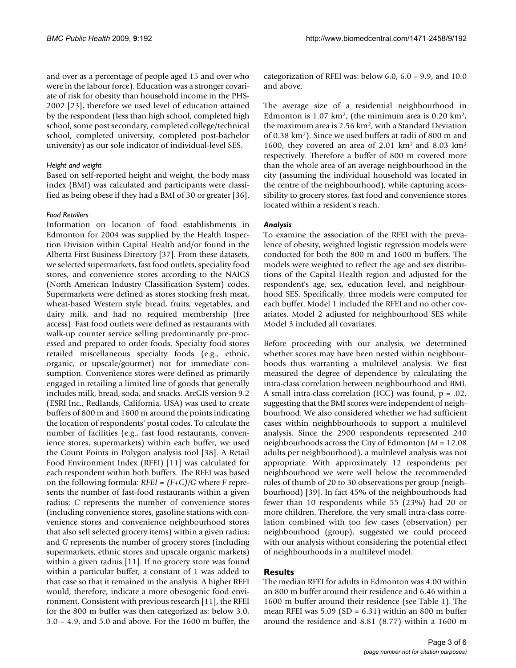and over as a percentage of people aged 15 and over who were in the labour force). Education was a stronger covariate of risk for obesity than household income in the PHS-2002 [23], therefore we used level of education attained by the respondent (less than high school, completed high school, some post secondary, completed college/technical school, completed university, completed post-bachelor university) as our sole indicator of individual-level SES.

#### *Height and weight*

Based on self-reported height and weight, the body mass index (BMI) was calculated and participants were classified as being obese if they had a BMI of 30 or greater [36].

#### *Food Retailers*

Information on location of food establishments in Edmonton for 2004 was supplied by the Health Inspection Division within Capital Health and/or found in the Alberta First Business Directory [37]. From these datasets, we selected supermarkets, fast food outlets, speciality food stores, and convenience stores according to the NAICS (North American Industry Classification System) codes. Supermarkets were defined as stores stocking fresh meat, wheat-based Western style bread, fruits, vegetables, and dairy milk, and had no required membership (free access). Fast food outlets were defined as restaurants with walk-up counter service selling predominantly pre-processed and prepared to order foods. Specialty food stores retailed miscellaneous specialty foods (e.g., ethnic, organic, or upscale/gourmet) not for immediate consumption. Convenience stores were defined as primarily engaged in retailing a limited line of goods that generally includes milk, bread, soda, and snacks. ArcGIS version 9.2 (ESRI Inc., Redlands, California, USA) was used to create buffers of 800 m and 1600 m around the points indicating the location of respondents' postal codes. To calculate the number of facilities (e.g., fast food restaurants, convenience stores, supermarkets) within each buffer, we used the Count Points in Polygon analysis tool [38]. A Retail Food Environment Index (RFEI) [11] was calculated for each respondent within both buffers. The RFEI was based on the following formula: *RFEI = (F+C)/G* where *F* represents the number of fast-food restaurants within a given radius; *C* represents the number of convenience stores (including convenience stores, gasoline stations with convenience stores and convenience neighbourhood stores that also sell selected grocery items) within a given radius; and *G* represents the number of grocery stores (including supermarkets, ethnic stores and upscale organic markets) within a given radius [11]. If no grocery store was found within a particular buffer, a constant of 1 was added to that case so that it remained in the analysis. A higher REFI would, therefore, indicate a more obesogenic food environment. Consistent with previous research [11], the RFEI for the 800 m buffer was then categorized as: below 3.0, 3.0 – 4.9, and 5.0 and above. For the 1600 m buffer, the

categorization of RFEI was: below 6.0, 6.0 – 9.9, and 10.0 and above.

The average size of a residential neighbourhood in Edmonton is 1.07 km<sup>2</sup>, (the minimum area is 0.20 km<sup>2</sup>, the maximum area is 2.56 km2, with a Standard Deviation of 0.38 km2). Since we used buffers at radii of 800 m and 1600, they covered an area of 2.01 km2 and 8.03 km2 respectively. Therefore a buffer of 800 m covered more than the whole area of an average neighbourhood in the city (assuming the individual household was located in the centre of the neighbourhood), while capturing accessibility to grocery stores, fast food and convenience stores located within a resident's reach.

#### *Analysis*

To examine the association of the RFEI with the prevalence of obesity, weighted logistic regression models were conducted for both the 800 m and 1600 m buffers. The models were weighted to reflect the age and sex distributions of the Capital Health region and adjusted for the respondent's age, sex, education level, and neighbourhood SES. Specifically, three models were computed for each buffer. Model 1 included the RFEI and no other covariates. Model 2 adjusted for neighbourhood SES while Model 3 included all covariates.

Before proceeding with our analysis, we determined whether scores may have been nested within neighbourhoods thus warranting a multilevel analysis. We first measured the degree of dependence by calculating the intra-class correlation between neighbourhood and BMI. A small intra-class correlation (ICC) was found, p = .02, suggesting that the BMI scores were independent of neighbourhood. We also considered whether we had sufficient cases within neighbbourhoods to support a multilevel analysis. Since the 2900 respondents represented 240 neighbourhoods across the City of Edmonton (*M* = 12.08 adults per neighbourhood), a multilevel analysis was not appropriate. With approximately 12 respondents per neighbourhood we were well below the recommended rules of thumb of 20 to 30 observations per group (neighbourhood) [39]. In fact 45% of the neighbourhoods had fewer than 10 respondents while 55 (23%) had 20 or more children. Therefore, the very small intra-class correlation combined with too few cases (observation) per neighbourhood (group), suggested we could proceed with our analysis without considering the potential effect of neighbourhoods in a multilevel model.

#### **Results**

The median RFEI for adults in Edmonton was 4.00 within an 800 m buffer around their residence and 6.46 within a 1600 m buffer around their residence (see Table 1). The mean RFEI was  $5.09$  (SD =  $6.31$ ) within an 800 m buffer around the residence and 8.81 (8.77) within a 1600 m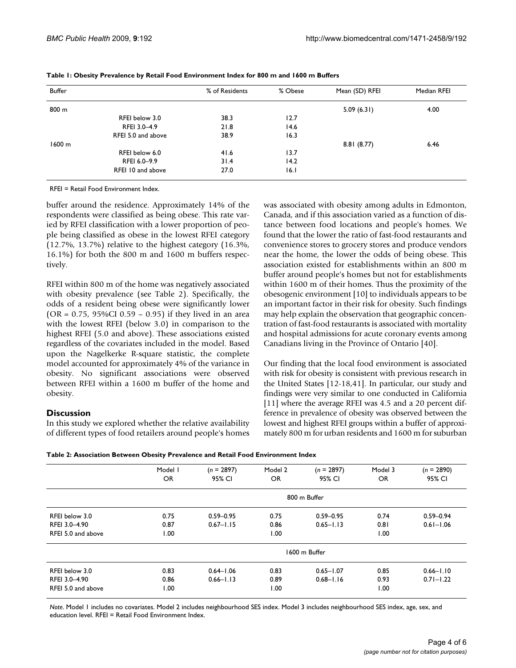| <b>Buffer</b>    |                    | % of Residents | % Obese | Mean (SD) RFEI | Median RFEI |  |
|------------------|--------------------|----------------|---------|----------------|-------------|--|
| 800 <sub>m</sub> |                    |                |         | 5.09(6.31)     | 4.00        |  |
|                  | RFEI below 3.0     | 38.3           | 12.7    |                |             |  |
|                  | RFEI 3.0-4.9       | 21.8           | 14.6    |                |             |  |
|                  | RFEI 5.0 and above | 38.9           | 16.3    |                |             |  |
| 1600 m           |                    |                |         | 8.81(8.77)     | 6.46        |  |
|                  | RFEI below 6.0     | 41.6           | 13.7    |                |             |  |
|                  | RFEI 6.0-9.9       | 31.4           | 14.2    |                |             |  |
|                  | RFEI 10 and above  | 27.0           | 16.1    |                |             |  |

**Table 1: Obesity Prevalence by Retail Food Environment Index for 800 m and 1600 m Buffers**

RFEI = Retail Food Environment Index.

buffer around the residence. Approximately 14% of the respondents were classified as being obese. This rate varied by RFEI classification with a lower proportion of people being classified as obese in the lowest RFEI category (12.7%, 13.7%) relative to the highest category (16.3%, 16.1%) for both the 800 m and 1600 m buffers respectively.

RFEI within 800 m of the home was negatively associated with obesity prevalence (see Table 2). Specifically, the odds of a resident being obese were significantly lower (OR = 0.75, 95%CI 0.59 – 0.95) if they lived in an area with the lowest RFEI (below 3.0) in comparison to the highest RFEI (5.0 and above). These associations existed regardless of the covariates included in the model. Based upon the Nagelkerke R-square statistic, the complete model accounted for approximately 4% of the variance in obesity. No significant associations were observed between RFEI within a 1600 m buffer of the home and obesity.

# **Discussion**

In this study we explored whether the relative availability of different types of food retailers around people's homes was associated with obesity among adults in Edmonton, Canada, and if this association varied as a function of distance between food locations and people's homes. We found that the lower the ratio of fast-food restaurants and convenience stores to grocery stores and produce vendors near the home, the lower the odds of being obese. This association existed for establishments within an 800 m buffer around people's homes but not for establishments within 1600 m of their homes. Thus the proximity of the obesogenic environment [10] to individuals appears to be an important factor in their risk for obesity. Such findings may help explain the observation that geographic concentration of fast-food restaurants is associated with mortality and hospital admissions for acute coronary events among Canadians living in the Province of Ontario [40].

Our finding that the local food environment is associated with risk for obesity is consistent with previous research in the United States [12-18,41]. In particular, our study and findings were very similar to one conducted in California [11] where the average RFEI was 4.5 and a 20 percent difference in prevalence of obesity was observed between the lowest and highest RFEI groups within a buffer of approximately 800 m for urban residents and 1600 m for suburban

| Table 2: Association Between Obesity Prevalence and Retail Food Environment Index |  |  |
|-----------------------------------------------------------------------------------|--|--|
|                                                                                   |  |  |

|                    | Model I      | $(n = 2897)$  | Model 2   | $(n = 2897)$  | Model 3   | $(n = 2890)$  |  |  |
|--------------------|--------------|---------------|-----------|---------------|-----------|---------------|--|--|
|                    | <b>OR</b>    | 95% CI        | <b>OR</b> | 95% CI        | <b>OR</b> | 95% CI        |  |  |
|                    | 800 m Buffer |               |           |               |           |               |  |  |
| RFEI below 3.0     | 0.75         | $0.59 - 0.95$ | 0.75      | $0.59 - 0.95$ | 0.74      | $0.59 - 0.94$ |  |  |
| RFEI 3.0-4.90      | 0.87         | $0.67 - 1.15$ | 0.86      | $0.65 - 1.13$ | 0.81      | $0.61 - 1.06$ |  |  |
| RFEI 5.0 and above | 1.00         |               | 1.00      |               | 1.00      |               |  |  |
|                    |              |               |           | 1600 m Buffer |           |               |  |  |
| RFEI below 3.0     | 0.83         | $0.64 - 1.06$ | 0.83      | $0.65 - 1.07$ | 0.85      | $0.66 - 1.10$ |  |  |
| RFEI 3.0-4.90      | 0.86         | $0.66 - 1.13$ | 0.89      | $0.68 - 1.16$ | 0.93      | $0.71 - 1.22$ |  |  |
| RFEI 5.0 and above | 1.00         |               | 1.00      |               | 1.00      |               |  |  |

*Note*. Model 1 includes no covariates. Model 2 includes neighbourhood SES index. Model 3 includes neighbourhood SES index, age, sex, and education level. RFEI = Retail Food Environment Index.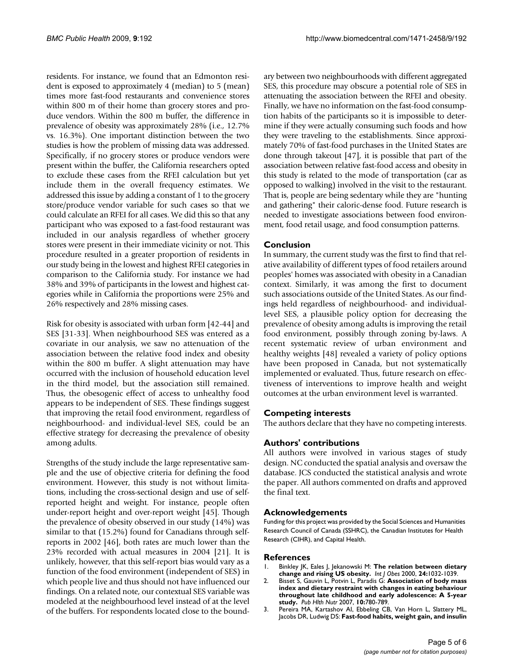residents. For instance, we found that an Edmonton resident is exposed to approximately 4 (median) to 5 (mean) times more fast-food restaurants and convenience stores within 800 m of their home than grocery stores and produce vendors. Within the 800 m buffer, the difference in prevalence of obesity was approximately 28% (i.e., 12.7% vs. 16.3%). One important distinction between the two studies is how the problem of missing data was addressed. Specifically, if no grocery stores or produce vendors were present within the buffer, the California researchers opted to exclude these cases from the RFEI calculation but yet include them in the overall frequency estimates. We addressed this issue by adding a constant of 1 to the grocery store/produce vendor variable for such cases so that we could calculate an RFEI for all cases. We did this so that any participant who was exposed to a fast-food restaurant was included in our analysis regardless of whether grocery stores were present in their immediate vicinity or not. This procedure resulted in a greater proportion of residents in our study being in the lowest and highest RFEI categories in comparison to the California study. For instance we had 38% and 39% of participants in the lowest and highest categories while in California the proportions were 25% and 26% respectively and 28% missing cases.

Risk for obesity is associated with urban form [42-44] and SES [31-33]. When neighbourhood SES was entered as a covariate in our analysis, we saw no attenuation of the association between the relative food index and obesity within the 800 m buffer. A slight attenuation may have occurred with the inclusion of household education level in the third model, but the association still remained. Thus, the obesogenic effect of access to unhealthy food appears to be independent of SES. These findings suggest that improving the retail food environment, regardless of neighbourhood- and individual-level SES, could be an effective strategy for decreasing the prevalence of obesity among adults.

Strengths of the study include the large representative sample and the use of objective criteria for defining the food environment. However, this study is not without limitations, including the cross-sectional design and use of selfreported height and weight. For instance, people often under-report height and over-report weight [45]. Though the prevalence of obesity observed in our study (14%) was similar to that (15.2%) found for Canadians through selfreports in 2002 [46], both rates are much lower than the 23% recorded with actual measures in 2004 [21]. It is unlikely, however, that this self-report bias would vary as a function of the food environment (independent of SES) in which people live and thus should not have influenced our findings. On a related note, our contextual SES variable was modeled at the neighbourhood level instead of at the level of the buffers. For respondents located close to the boundary between two neighbourhoods with different aggregated SES, this procedure may obscure a potential role of SES in attenuating the association between the RFEI and obesity. Finally, we have no information on the fast-food consumption habits of the participants so it is impossible to determine if they were actually consuming such foods and how they were traveling to the establishments. Since approximately 70% of fast-food purchases in the United States are done through takeout [47], it is possible that part of the association between relative fast-food access and obesity in this study is related to the mode of transportation (car as opposed to walking) involved in the visit to the restaurant. That is, people are being sedentary while they are "hunting and gathering" their caloric-dense food. Future research is needed to investigate associations between food environment, food retail usage, and food consumption patterns.

# **Conclusion**

In summary, the current study was the first to find that relative availability of different types of food retailers around peoples' homes was associated with obesity in a Canadian context. Similarly, it was among the first to document such associations outside of the United States. As our findings held regardless of neighbourhood- and individuallevel SES, a plausible policy option for decreasing the prevalence of obesity among adults is improving the retail food environment, possibly through zoning by-laws. A recent systematic review of urban environment and healthy weights [48] revealed a variety of policy options have been proposed in Canada, but not systematically implemented or evaluated. Thus, future research on effectiveness of interventions to improve health and weight outcomes at the urban environment level is warranted.

# **Competing interests**

The authors declare that they have no competing interests.

# **Authors' contributions**

All authors were involved in various stages of study design. NC conducted the spatial analysis and oversaw the database. JCS conducted the statistical analysis and wrote the paper. All authors commented on drafts and approved the final text.

#### **Acknowledgements**

Funding for this project was provided by the Social Sciences and Humanities Research Council of Canada (SSHRC), the Canadian Institutes for Health Research (CIHR), and Capital Health.

#### **References**

- 1. Binkley JK, Eales J, Jekanowski M: **The relation between dietary change and rising US obesity.** *Int J Obes* 2000, **24:**1032-1039.
- 2. Bisset S, Gauvin L, Potvin L, Paradis G: **Association of body mass index and dietary restraint with changes in eating behaviour throughout late childhood and early adolescence: A 5-year study.** *Pub Hlth Nutr* 2007, **10:**780-789.
- 3. Pereira MA, Kartashov AI, Ebbeling CB, Van Horn L, Slattery ML, Jacobs DR, Ludwig DS: **[Fast-food habits, weight gain, and insulin](http://www.ncbi.nlm.nih.gov/entrez/query.fcgi?cmd=Retrieve&db=PubMed&dopt=Abstract&list_uids=15639678)**